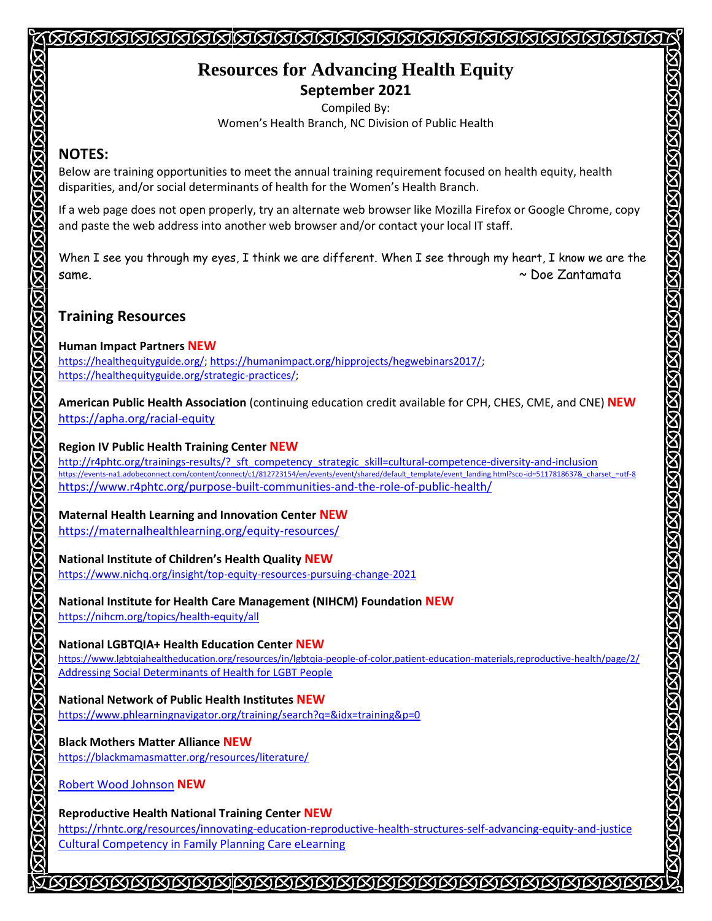# **Resources for Advancing Health Equity September 2021**

<u>ISSISSISSISSISSISSISSISSISSISSISSISSI</u>

Compiled By: Women's Health Branch, NC Division of Public Health

## **NOTES:**

Below are training opportunities to meet the annual training requirement focused on health equity, health disparities, and/or social determinants of health for the Women's Health Branch.

If a web page does not open properly, try an alternate web browser like Mozilla Firefox or Google Chrome, copy and paste the web address into another web browser and/or contact your local IT staff.

KIKIKIKIKIKIKIK

SISTETSISTETSISTETSIST

**STORISTORY** 

When I see you through my eyes, I think we are different. When I see through my heart, I know we are the same. ~ Doe Zantamata

# **Training Resources**

#### **Human Impact Partners NEW**

https://healthequityguide.org/; https://humanimpact.org/hipprojects/hegwebinars2017/; https://healthequityguide.org/strategic-practices/;

**American Public Health Association** (continuing education credit available for CPH, CHES, CME, and CNE) **NEW** https://apha.org/racial-equity

#### **Region IV Public Health Training Center NEW**

http://r4phtc.org/trainings-results/? sft\_competency\_strategic\_skill=cultural-competence-diversity-and-inclusion https://events-na1.adobeconnect.com/content/connect/c1/812723154/en/events/event/shared/default\_template/event\_landing.html?sco-id=5117818637&\_charset\_=utf-8 https://www.r4phtc.org/purpose-built-communities-and-the-role-of-public-health/

## **Maternal Health Learning and Innovation Center NEW**

https://maternalhealthlearning.org/equity-resources/

## **National Institute of Children's Health Quality NEW**

https://www.nichq.org/insight/top-equity-resources-pursuing-change-2021

## **National Institute for Health Care Management (NIHCM) Foundation NEW**

https://nihcm.org/topics/health-equity/all

## **National LGBTQIA+ Health Education Center NEW**

https://www.lgbtqiahealtheducation.org/resources/in/lgbtqia-people-of-color,patient-education-materials,reproductive-health/page/2/ Addressing Social Determinants of Health for LGBT People

## **National Network of Public Health Institutes NEW**

https://www.phlearningnavigator.org/training/search?q=&idx=training&p=0

## **Black Mothers Matter Alliance NEW**

https://blackmamasmatter.org/resources/literature/

Robert Wood Johnson **NEW**

## **Reproductive Health National Training Center NEW**

https://rhntc.org/resources/innovating-education-reproductive-health-structures-self-advancing-equity-and-justice Cultural Competency in Family Planning Care eLearning